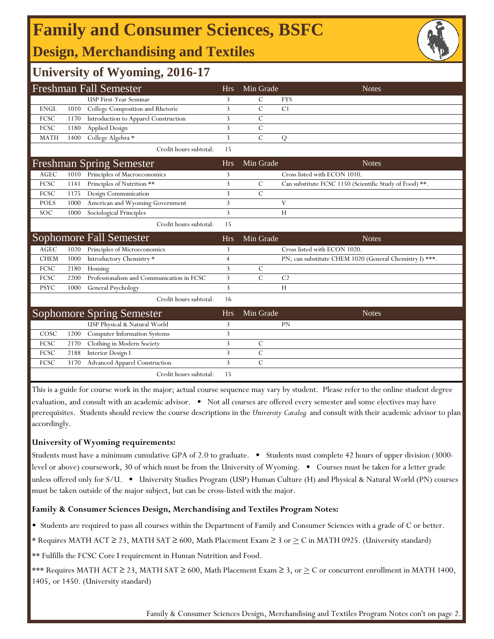# **Family and Consumer Sciences, BSFC**

# **Design, Merchandising and Textiles**

## **University of Wyoming, 2016-17**

|                       |      | <b>Freshman Fall Semester</b>             | <b>Hrs</b>     | Min Grade     | <b>Notes</b>                                            |
|-----------------------|------|-------------------------------------------|----------------|---------------|---------------------------------------------------------|
|                       |      | <b>USP First-Year Seminar</b>             | 3              | C             | <b>FYS</b>                                              |
| <b>ENGL</b>           | 1010 | College Composition and Rhetoric          | 3              | $\mathcal{C}$ | C1                                                      |
| FCSC                  | 1170 | Introduction to Apparel Construction      | 3              | $\mathcal{C}$ |                                                         |
| FCSC                  | 1180 | <b>Applied Design</b>                     | 3              | $\mathcal{C}$ |                                                         |
| <b>MATH</b>           | 1400 | College Algebra *                         | 3              | $\mathcal{C}$ | Q                                                       |
|                       |      | Credit hours subtotal:                    | 15             |               |                                                         |
|                       |      | <b>Freshman Spring Semester</b>           | <b>Hrs</b>     | Min Grade     | <b>Notes</b>                                            |
| $\operatorname{AGEC}$ | 1010 | Principles of Macroeconomics              | 3              |               | Cross listed with ECON 1010.                            |
| FCSC                  | 1141 | Principles of Nutrition **                | $\mathbf{3}$   | $\mathcal{C}$ | Can substitute FCSC 1150 (Scientific Study of Food) **. |
| FCSC                  | 1175 | Design Communication                      | 3              | $\mathcal{C}$ |                                                         |
| <b>POLS</b>           | 1000 | American and Wyoming Government           | 3              |               | $\mathbf{V}$                                            |
| <b>SOC</b>            | 1000 | Sociological Principles                   | 3              |               | H                                                       |
|                       |      | Credit hours subtotal:                    | 15             |               |                                                         |
|                       |      |                                           |                |               |                                                         |
|                       |      | Sophomore Fall Semester                   | <b>Hrs</b>     | Min Grade     | <b>Notes</b>                                            |
| <b>AGEC</b>           | 1020 | Principles of Microeconomics              | 3              |               | Cross listed with ECON 1020.                            |
| <b>CHEM</b>           | 1000 | Introductory Chemistry *                  | $\overline{4}$ |               | PN; can substitute CHEM 1020 (General Chemistry I) ***. |
| FCSC                  | 2180 | Housing                                   | 3              | C             |                                                         |
| FCSC                  | 2200 | Professionalism and Communication in FCSC | 3              | $\mathcal{C}$ | C <sub>2</sub>                                          |
| <b>PSYC</b>           | 1000 | General Psychology                        | 3              |               | H                                                       |
|                       |      | Credit hours subtotal:                    | 16             |               |                                                         |
|                       |      | <b>Sophomore Spring Semester</b>          | <b>Hrs</b>     | Min Grade     | <b>Notes</b>                                            |
|                       |      | USP Physical & Natural World              | 3              |               | PN                                                      |
| COSC                  | 1200 | Computer Information Systems              | 3              |               |                                                         |
| FCSC                  | 2170 | Clothing in Modern Society                | 3              | $\mathcal{C}$ |                                                         |
| FCSC                  | 2188 | Interior Design I                         | 3              | $\mathcal{C}$ |                                                         |
| FCSC                  | 3170 | <b>Advanced Apparel Construction</b>      | 3              | $\mathcal{C}$ |                                                         |

This is a guide for course work in the major; actual course sequence may vary by student. Please refer to the online student degree evaluation, and consult with an academic advisor. • Not all courses are offered every semester and some electives may have prerequisites. Students should review the course descriptions in the *University Catalog* and consult with their academic advisor to plan accordingly.

### **University of Wyoming requirements:**

Students must have a minimum cumulative GPA of 2.0 to graduate. • Students must complete 42 hours of upper division (3000 level or above) coursework, 30 of which must be from the University of Wyoming. • Courses must be taken for a letter grade unless offered only for S/U. • University Studies Program (USP) Human Culture (H) and Physical & Natural World (PN) courses must be taken outside of the major subject, but can be cross-listed with the major.

### **Family & Consumer Sciences Design, Merchandising and Textiles Program Notes:**

• Students are required to pass all courses within the Department of Family and Consumer Sciences with a grade of C or better.

- \* Requires MATH ACT  $\geq$  23, MATH SAT  $\geq$  600, Math Placement Exam  $\geq$  3 or  $\geq$  C in MATH 0925. (University standard)
- \*\* Fulfills the FCSC Core I requirement in Human Nutrition and Food.

\*\*\* Requires MATH ACT  $\geq$  23, MATH SAT  $\geq$  600, Math Placement Exam  $\geq$  3, or  $\geq$  C or concurrent enrollment in MATH 1400, 1405, or 1450. (University standard)

Family & Consumer Sciences Design, Merchandising and Textiles Program Notes con't on page 2.